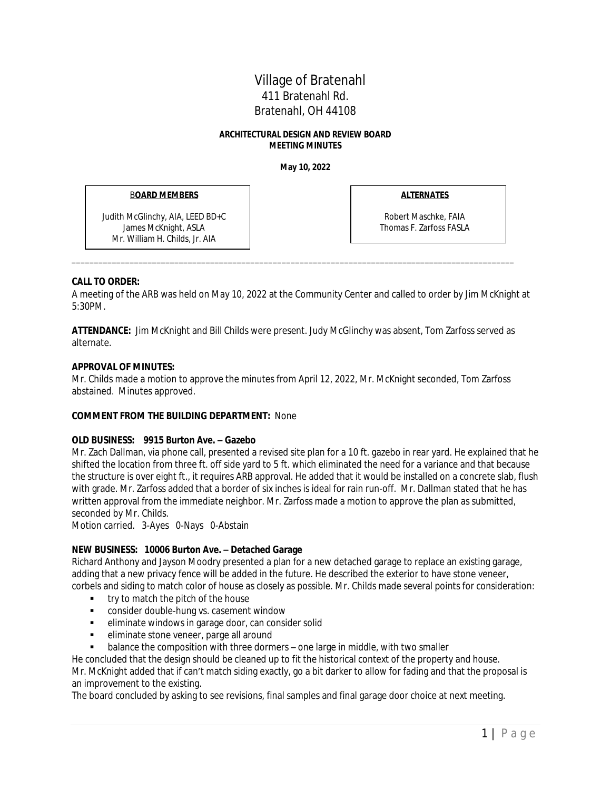# Village of Bratenahl 411 Bratenahl Rd. Bratenahl, OH 44108

#### **ARCHITECTURAL DESIGN AND REVIEW BOARD MEETING MINUTES**

**May 10, 2022**

### B**OARD MEMBERS**

Judith McGlinchy, AIA, LEED BD+C James McKnight, ASLA Mr. William H. Childs, Jr. AIA

**ALTERNATES**

Robert Maschke, FAIA Thomas F. Zarfoss FASLA

### **CALL TO ORDER:**

A meeting of the ARB was held on May 10, 2022 at the Community Center and called to order by Jim McKnight at 5:30PM.

\_\_\_\_\_\_\_\_\_\_\_\_\_\_\_\_\_\_\_\_\_\_\_\_\_\_\_\_\_\_\_\_\_\_\_\_\_\_\_\_\_\_\_\_\_\_\_\_\_\_\_\_\_\_\_\_\_\_\_\_\_\_\_\_\_\_\_\_\_\_\_\_\_\_\_\_\_\_\_\_\_\_\_\_\_\_\_\_\_\_\_\_\_\_\_\_\_\_\_

**ATTENDANCE:** Jim McKnight and Bill Childs were present. Judy McGlinchy was absent, Tom Zarfoss served as alternate.

### **APPROVAL OF MINUTES:**

Mr. Childs made a motion to approve the minutes from April 12, 2022, Mr. McKnight seconded, Tom Zarfoss abstained. Minutes approved.

## **COMMENT FROM THE BUILDING DEPARTMENT:** None

#### **OLD BUSINESS: 9915 Burton Ave. – Gazebo**

Mr. Zach Dallman, via phone call, presented a revised site plan for a 10 ft. gazebo in rear yard. He explained that he shifted the location from three ft. off side yard to 5 ft. which eliminated the need for a variance and that because the structure is over eight ft., it requires ARB approval. He added that it would be installed on a concrete slab, flush with grade. Mr. Zarfoss added that a border of six inches is ideal for rain run-off. Mr. Dallman stated that he has written approval from the immediate neighbor. Mr. Zarfoss made a motion to approve the plan as submitted, seconded by Mr. Childs.

Motion carried. 3-Ayes 0-Nays 0-Abstain

## **NEW BUSINESS: 10006 Burton Ave. – Detached Garage**

Richard Anthony and Jayson Moodry presented a plan for a new detached garage to replace an existing garage, adding that a new privacy fence will be added in the future. He described the exterior to have stone veneer, corbels and siding to match color of house as closely as possible. Mr. Childs made several points for consideration:

- try to match the pitch of the house
- **EXECONSTANCE CONSTANCE CONSTANCE** consider double-hung vs. casement window
- eliminate windows in garage door, can consider solid
- eliminate stone veneer, parge all around
- balance the composition with three dormers one large in middle, with two smaller

He concluded that the design should be cleaned up to fit the historical context of the property and house. Mr. McKnight added that if can't match siding exactly, go a bit darker to allow for fading and that the proposal is an improvement to the existing.

The board concluded by asking to see revisions, final samples and final garage door choice at next meeting.